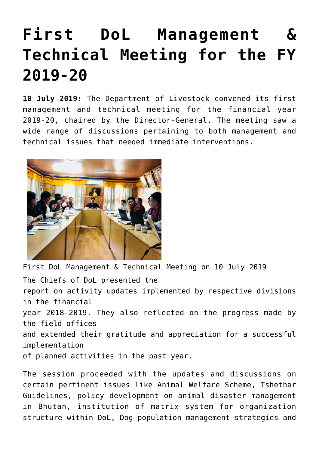## **[First DoL Management &](https://www.dol.gov.bt/first-dol-management-technical-meeting-for-the-fy-2019-20/) [Technical Meeting for the FY](https://www.dol.gov.bt/first-dol-management-technical-meeting-for-the-fy-2019-20/) [2019-20](https://www.dol.gov.bt/first-dol-management-technical-meeting-for-the-fy-2019-20/)**

**10 July 2019:** The Department of Livestock convened its first management and technical meeting for the financial year 2019-20, chaired by the Director-General. The meeting saw a wide range of discussions pertaining to both management and technical issues that needed immediate interventions.



First DoL Management & Technical Meeting on 10 July 2019 The Chiefs of DoL presented the report on activity updates implemented by respective divisions in the financial year 2018-2019. They also reflected on the progress made by the field offices and extended their gratitude and appreciation for a successful implementation of planned activities in the past year.

The session proceeded with the updates and discussions on certain pertinent issues like Animal Welfare Scheme, Tshethar Guidelines, policy development on animal disaster management in Bhutan, institution of matrix system for organization structure within DoL, Dog population management strategies and